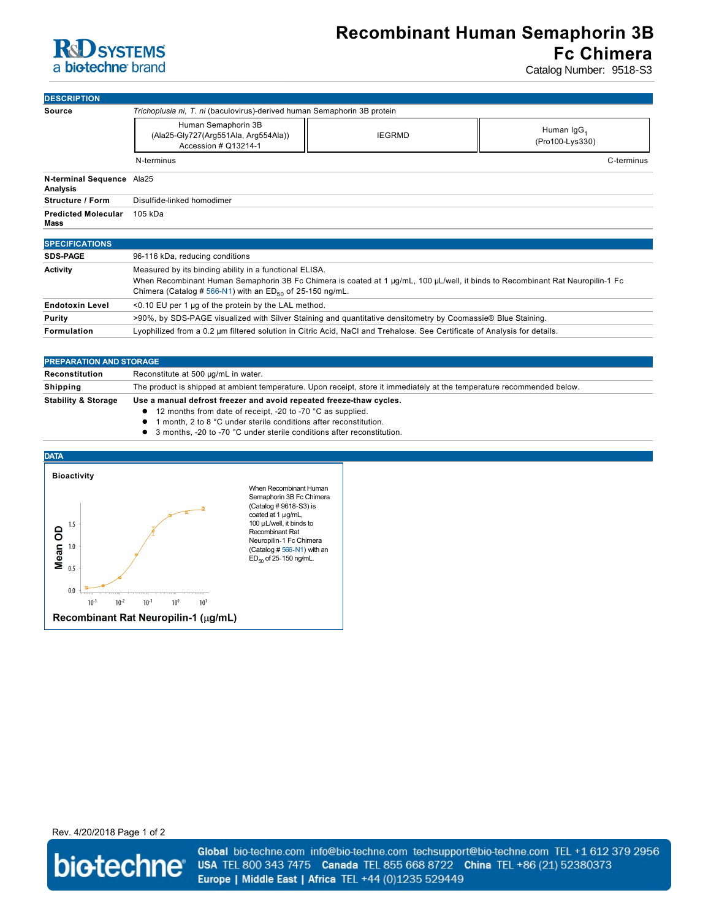

## **Recombinant Human Semaphorin 3B Fc Chimera**

Catalog Number: 9518-S3

| <b>DESCRIPTION</b>                    |                                                                                                                                                                                                                                                           |               |                                           |  |
|---------------------------------------|-----------------------------------------------------------------------------------------------------------------------------------------------------------------------------------------------------------------------------------------------------------|---------------|-------------------------------------------|--|
| <b>Source</b>                         | Trichoplusia ni, T. ni (baculovirus)-derived human Semaphorin 3B protein                                                                                                                                                                                  |               |                                           |  |
|                                       | Human Semaphorin 3B<br>(Ala25-Gly727(Arg551Ala, Arg554Ala))<br>Accession # Q13214-1                                                                                                                                                                       | <b>IEGRMD</b> | Human IgG <sub>1</sub><br>(Pro100-Lys330) |  |
|                                       | N-terminus                                                                                                                                                                                                                                                |               | C-terminus                                |  |
| N-terminal Sequence Ala25<br>Analysis |                                                                                                                                                                                                                                                           |               |                                           |  |
| <b>Structure / Form</b>               | Disulfide-linked homodimer                                                                                                                                                                                                                                |               |                                           |  |
| <b>Predicted Molecular</b><br>Mass    | 105 kDa                                                                                                                                                                                                                                                   |               |                                           |  |
| <b>SPECIFICATIONS</b>                 |                                                                                                                                                                                                                                                           |               |                                           |  |
| <b>SDS-PAGE</b>                       | 96-116 kDa, reducing conditions                                                                                                                                                                                                                           |               |                                           |  |
| <b>Activity</b>                       | Measured by its binding ability in a functional ELISA.<br>When Recombinant Human Semaphorin 3B Fc Chimera is coated at 1 µg/mL, 100 µL/well, it binds to Recombinant Rat Neuropilin-1 Fc<br>Chimera (Catalog # 566-N1) with an $ED_{50}$ of 25-150 ng/mL. |               |                                           |  |
| <b>Endotoxin Level</b>                | <0.10 EU per 1 µg of the protein by the LAL method.                                                                                                                                                                                                       |               |                                           |  |
| Purity                                | >90%, by SDS-PAGE visualized with Silver Staining and quantitative densitometry by Coomassie® Blue Staining.                                                                                                                                              |               |                                           |  |

| Formulation | Lyophilized from a 0.2 µm filtered solution in Citric Acid, NaCl and Trehalose. See Certificate of Analysis for details. |
|-------------|--------------------------------------------------------------------------------------------------------------------------|
|-------------|--------------------------------------------------------------------------------------------------------------------------|

| <b>PREPARATION AND STORAGE</b> |                                                                                                                         |  |  |
|--------------------------------|-------------------------------------------------------------------------------------------------------------------------|--|--|
| Reconstitution                 | Reconstitute at 500 µg/mL in water.                                                                                     |  |  |
| Shipping                       | The product is shipped at ambient temperature. Upon receipt, store it immediately at the temperature recommended below. |  |  |
| <b>Stability &amp; Storage</b> | Use a manual defrost freezer and avoid repeated freeze-thaw cycles.                                                     |  |  |
|                                | $\bullet$ 12 months from date of receipt, -20 to -70 °C as supplied.                                                    |  |  |
|                                | المستحدث والمتناور والمتحام والمستحدث والمستحين والمستحين والمستحيل والمستحيل والمستحيل والمستحيل والمتعالية والمستحيل  |  |  |

- l 1 month, 2 to 8 °C under sterile conditions after reconstitution.
- 3 months, -20 to -70 °C under sterile conditions after reconstitution.



Rev. 4/20/2018 Page 1 of 2



Global bio-techne.com info@bio-techne.com techsupport@bio-techne.com TEL +1 612 379 2956 USA TEL 800 343 7475 Canada TEL 855 668 8722 China TEL +86 (21) 52380373 Europe | Middle East | Africa TEL +44 (0)1235 529449